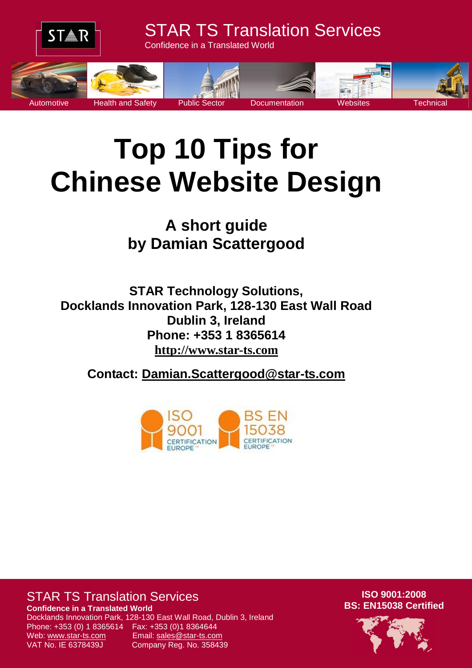

# **Top 10 Tips for Chinese Website Design**

**A short guide by Damian Scattergood**

**STAR Technology Solutions, Docklands Innovation Park, 128-130 East Wall Road Dublin 3, Ireland Phone: +353 1 8365614 [http://www.star-ts.com](http://www.star-ts.com/)**

**Contact: [Damian.Scattergood@star-ts.com](mailto:Damian.Scattergood@star-ts.com)**



### STAR TS Translation Services

**Confidence in a Translated World**

Phone: +353 (0) 1 8365614 Fax: +353 (0)1 8364644 Web: www.star-ts.com Email: sales@star-ts.com VAT No. IE 6378439J Company Reg. No. 358439

Docklands Innovation Park, 128-130 East Wall Road, Dublin 3, Ireland

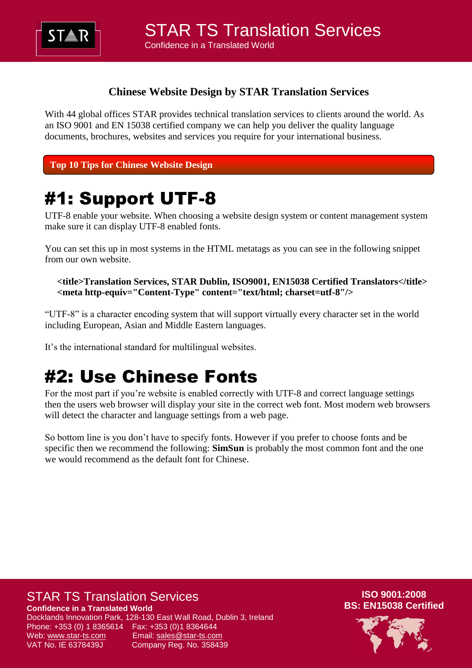

#### **Chinese Website Design by STAR Translation Services**

With 44 global offices STAR provides technical translation services to clients around the world. As an ISO 9001 and EN 15038 certified company we can help you deliver the quality language documents, brochures, websites and services you require for your international business.

**Top 10 Tips for Chinese Website Design**

## #1: Support UTF-8

UTF-8 enable your website. When choosing a website design system or content management system make sure it can display UTF-8 enabled fonts.

You can set this up in most systems in the HTML metatags as you can see in the following snippet from our own website.

**<title>Translation Services, STAR Dublin, ISO9001, EN15038 Certified Translators</title> <meta http-equiv="Content-Type" content="text/html; charset=utf-8"/>**

"UTF-8" is a character encoding system that will support virtually every character set in the world including European, Asian and Middle Eastern languages.

It's the international standard for multilingual websites.

## #2: Use Chinese Fonts

For the most part if you're website is enabled correctly with UTF-8 and correct language settings then the users web browser will display your site in the correct web font. Most modern web browsers will detect the character and language settings from a web page.

So bottom line is you don't have to specify fonts. However if you prefer to choose fonts and be specific then we recommend the following: **SimSun** is probably the most common font and the one we would recommend as the default font for Chinese.

#### STAR TS Translation Services

**Confidence in a Translated World**

Docklands Innovation Park, 128-130 East Wall Road, Dublin 3, Ireland Phone: +353 (0) 1 8365614 Fax: +353 (0)1 8364644 Web: www.star-ts.com Email: sales@star-ts.com VAT No. IE 6378439J Company Reg. No. 358439

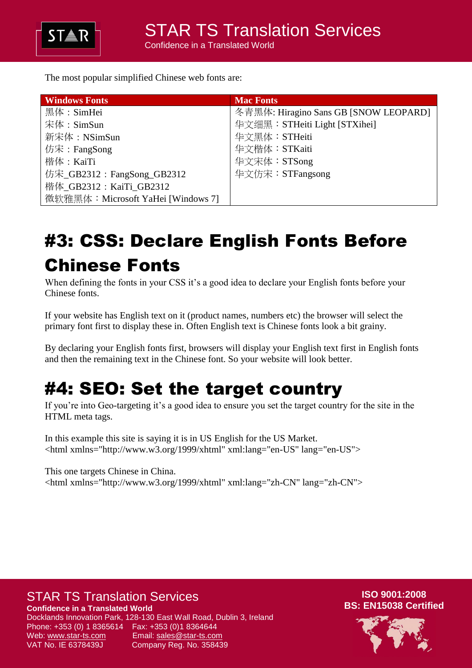

The most popular simplified Chinese web fonts are:

| <b>Windows Fonts</b>               | <b>Mac Fonts</b>                      |
|------------------------------------|---------------------------------------|
| 黑体:SimHei                          | 冬青黑体: Hiragino Sans GB [SNOW LEOPARD] |
| 宋体: $SimSun$                       | 华文细黑: STHeiti Light [STXihei]         |
| 新宋体: NSimSun                       | 华文黑体:STHeiti                          |
| 仿宋: FangSong                       | 华文楷体:STKaiti                          |
| 楷体: KaiTi                          | 华文宋体:STSong                           |
| 仿宋_GB2312: FangSong_GB2312         | 华文仿宋:STFangsong                       |
| 楷体 GB2312: KaiTi GB2312            |                                       |
| 微软雅黑体: Microsoft YaHei [Windows 7] |                                       |

## #3: CSS: Declare English Fonts Before Chinese Fonts

When defining the fonts in your CSS it's a good idea to declare your English fonts before your Chinese fonts.

If your website has English text on it (product names, numbers etc) the browser will select the primary font first to display these in. Often English text is Chinese fonts look a bit grainy.

By declaring your English fonts first, browsers will display your English text first in English fonts and then the remaining text in the Chinese font. So your website will look better.

## #4: SEO: Set the target country

If you're into Geo-targeting it's a good idea to ensure you set the target country for the site in the HTML meta tags.

In this example this site is saying it is in US English for the US Market. <html xmlns="http://www.w3.org/1999/xhtml" xml:lang="en-US" lang="en-US">

This one targets Chinese in China. <html xmlns="http://www.w3.org/1999/xhtml" xml:lang="zh-CN" lang="zh-CN">

### STAR TS Translation Services

**Confidence in a Translated World**

Docklands Innovation Park, 128-130 East Wall Road, Dublin 3, Ireland Phone: +353 (0) 1 8365614 Fax: +353 (0)1 8364644 Web: www.star-ts.com Email: sales@star-ts.com VAT No. IE 6378439J Company Reg. No. 358439

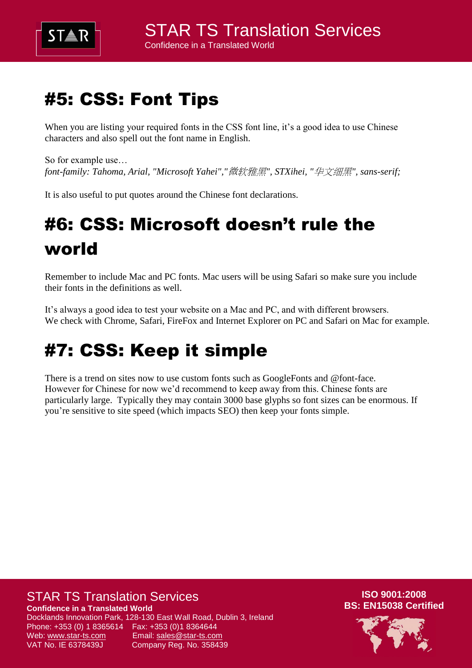

## #5: CSS: Font Tips

When you are listing your required fonts in the CSS font line, it's a good idea to use Chinese characters and also spell out the font name in English.

So for example use… *font-family: Tahoma, Arial, "Microsoft Yahei","*微软雅黑*", STXihei, "*华文细黑*", sans-serif;*

It is also useful to put quotes around the Chinese font declarations.

## #6: CSS: Microsoft doesn't rule the world

Remember to include Mac and PC fonts. Mac users will be using Safari so make sure you include their fonts in the definitions as well.

It's always a good idea to test your website on a Mac and PC, and with different browsers. We check with Chrome, Safari, FireFox and Internet Explorer on PC and Safari on Mac for example.

## #7: CSS: Keep it simple

There is a trend on sites now to use custom fonts such as GoogleFonts and @font-face. However for Chinese for now we'd recommend to keep away from this. Chinese fonts are particularly large. Typically they may contain 3000 base glyphs so font sizes can be enormous. If you're sensitive to site speed (which impacts SEO) then keep your fonts simple.

### STAR TS Translation Services

**Confidence in a Translated World**

Docklands Innovation Park, 128-130 East Wall Road, Dublin 3, Ireland Phone: +353 (0) 1 8365614 Fax: +353 (0)1 8364644 Web: www.star-ts.com Email: sales@star-ts.com VAT No. IE 6378439J Company Reg. No. 358439

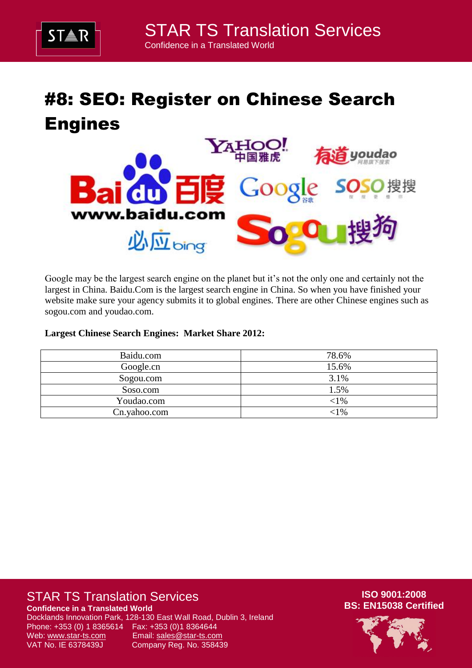

## #8: SEO: Register on Chinese Search Engines



Google may be the largest search engine on the planet but it's not the only one and certainly not the largest in China. Baidu.Com is the largest search engine in China. So when you have finished your website make sure your agency submits it to global engines. There are other Chinese engines such as sogou.com and youdao.com.

#### **Largest Chinese Search Engines: Market Share 2012:**

| Baidu.com    | 78.6%  |
|--------------|--------|
| Google.cn    | 15.6%  |
| Sogou.com    | 3.1%   |
| Soso.com     | 1.5%   |
| Youdao.com   | $<$ 1% |
| Cn.yahoo.com | 1%     |

### STAR TS Translation Services

**Confidence in a Translated World**

Docklands Innovation Park, 128-130 East Wall Road, Dublin 3, Ireland Phone: +353 (0) 1 8365614 Fax: +353 (0)1 8364644 Web: www.star-ts.com Email: sales@star-ts.com VAT No. IE 6378439J Company Reg. No. 358439

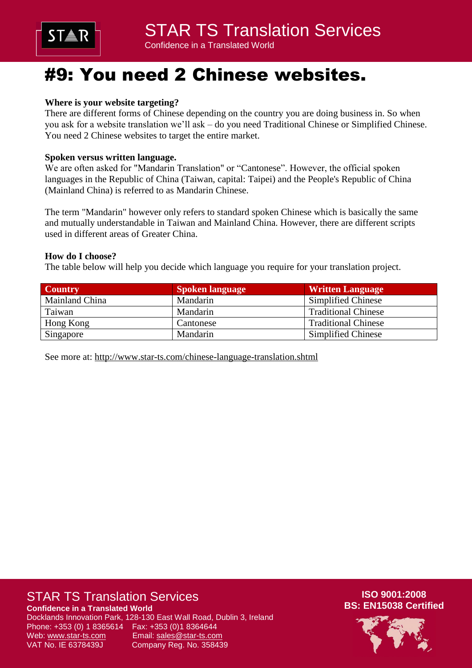

## #9: You need 2 Chinese websites.

#### **Where is your website targeting?**

There are different forms of Chinese depending on the country you are doing business in. So when you ask for a website translation we'll ask – do you need Traditional Chinese or Simplified Chinese. You need 2 Chinese websites to target the entire market.

#### **Spoken versus written language.**

We are often asked for "Mandarin Translation" or "Cantonese". However, the official spoken languages in the Republic of China (Taiwan, capital: Taipei) and the People's Republic of China (Mainland China) is referred to as Mandarin Chinese.

The term "Mandarin" however only refers to standard spoken Chinese which is basically the same and mutually understandable in Taiwan and Mainland China. However, there are different scripts used in different areas of Greater China.

#### **How do I choose?**

The table below will help you decide which language you require for your translation project.

| <b>Country</b> | <b>Spoken language</b> | <b>Written Language</b>    |
|----------------|------------------------|----------------------------|
| Mainland China | Mandarin               | Simplified Chinese         |
| Taiwan         | Mandarin               | <b>Traditional Chinese</b> |
| Hong Kong      | Cantonese              | <b>Traditional Chinese</b> |
| Singapore      | Mandarin               | Simplified Chinese         |

See more at:<http://www.star-ts.com/chinese-language-translation.shtml>

### STAR TS Translation Services

**Confidence in a Translated World**

Docklands Innovation Park, 128-130 East Wall Road, Dublin 3, Ireland Phone: +353 (0) 1 8365614 Fax: +353 (0)1 8364644 Web: www.star-ts.com Email: sales@star-ts.com VAT No. IE 6378439J Company Reg. No. 358439

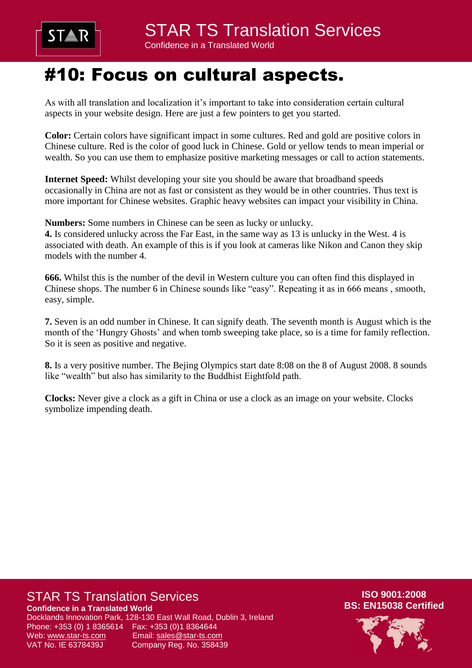

### #10: Focus on cultural aspects.

As with all translation and localization it's important to take into consideration certain cultural aspects in your website design. Here are just a few pointers to get you started.

**Color:** Certain colors have significant impact in some cultures. Red and gold are positive colors in Chinese culture. Red is the color of good luck in Chinese. Gold or yellow tends to mean imperial or wealth. So you can use them to emphasize positive marketing messages or call to action statements.

**Internet Speed:** Whilst developing your site you should be aware that broadband speeds occasionally in China are not as fast or consistent as they would be in other countries. Thus text is more important for Chinese websites. Graphic heavy websites can impact your visibility in China.

**Numbers:** Some numbers in Chinese can be seen as lucky or unlucky.

**4.** Is considered unlucky across the Far East, in the same way as 13 is unlucky in the West. 4 is associated with death. An example of this is if you look at cameras like Nikon and Canon they skip models with the number 4.

**666.** Whilst this is the number of the devil in Western culture you can often find this displayed in Chinese shops. The number 6 in Chinese sounds like "easy". Repeating it as in 666 means , smooth, easy, simple.

**7.** Seven is an odd number in Chinese. It can signify death. The seventh month is August which is the month of the 'Hungry Ghosts' and when tomb sweeping take place, so is a time for family reflection. So it is seen as positive and negative.

**8.** Is a very positive number. The Bejing Olympics start date 8:08 on the 8 of August 2008. 8 sounds like "wealth" but also has similarity to the Buddhist Eightfold path.

**Clocks:** Never give a clock as a gift in China or use a clock as an image on your website. Clocks symbolize impending death.

### STAR TS Translation Services

**Confidence in a Translated World**

Docklands Innovation Park, 128-130 East Wall Road, Dublin 3, Ireland Phone: +353 (0) 1 8365614 Fax: +353 (0)1 8364644 Web: www.star-ts.com Email: sales@star-ts.com VAT No. IE 6378439J Company Reg. No. 358439